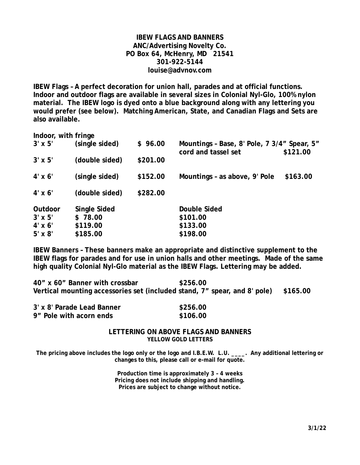### **IBEW FLAGS AND BANNERS ANC/Advertising Novelty Co. PO Box 64, McHenry, MD 21541 301-922-5144 louise@advnov.com**

**IBEW Flags – A perfect decoration for union hall, parades and at official functions. Indoor and outdoor flags are available in several sizes in Colonial Nyl-Glo, 100% nylon material. The IBEW logo is dyed onto a blue background along with any lettering you would prefer (see below). Matching American, State, and Canadian Flags and Sets are also available.** 

| Indoor, with fringe |                |          |                                                                                |          |
|---------------------|----------------|----------|--------------------------------------------------------------------------------|----------|
| $3' \times 5'$      | (single sided) | \$96.00  | Mountings - Base, 8' Pole, 7 3/4" Spear, 5"<br>cord and tassel set<br>\$121.00 |          |
| $3' \times 5'$      | (double sided) | \$201.00 |                                                                                |          |
| $4' \times 6'$      | (single sided) | \$152.00 | Mountings - as above, 9' Pole                                                  | \$163.00 |
| $4' \times 6'$      | (double sided) | \$282.00 |                                                                                |          |
| Outdoor             | Single Sided   |          | Double Sided                                                                   |          |
| $3' \times 5'$      | \$78.00        |          | \$101.00                                                                       |          |
| $4' \times 6'$      | \$119.00       |          | \$133.00                                                                       |          |
| $5' \times 8'$      | \$185.00       |          | \$198.00                                                                       |          |

**IBEW Banners – These banners make an appropriate and distinctive supplement to the IBEW flags for parades and for use in union halls and other meetings. Made of the same high quality Colonial Nyl-Glo material as the IBEW Flags. Lettering may be added.** 

| 40" x 60" Banner with crossbar | \$256.00                                                                           |  |
|--------------------------------|------------------------------------------------------------------------------------|--|
|                                | Vertical mounting accessories set (included stand, 7" spear, and 8' pole) \$165.00 |  |

| 3' x 8' Parade Lead Banner | \$256.00 |
|----------------------------|----------|
| 9" Pole with acorn ends    | \$106.00 |

#### **LETTERING ON ABOVE FLAGS AND BANNERS YELLOW GOLD LETTERS**

The pricing above includes the logo only or the logo and I.B.E.W. L.U. **Any additional lettering or changes to this, please call or e-mail for quote.** 

> **Production time is approximately 3 – 4 weeks Pricing does not include shipping and handling. Prices are subject to change without notice.**